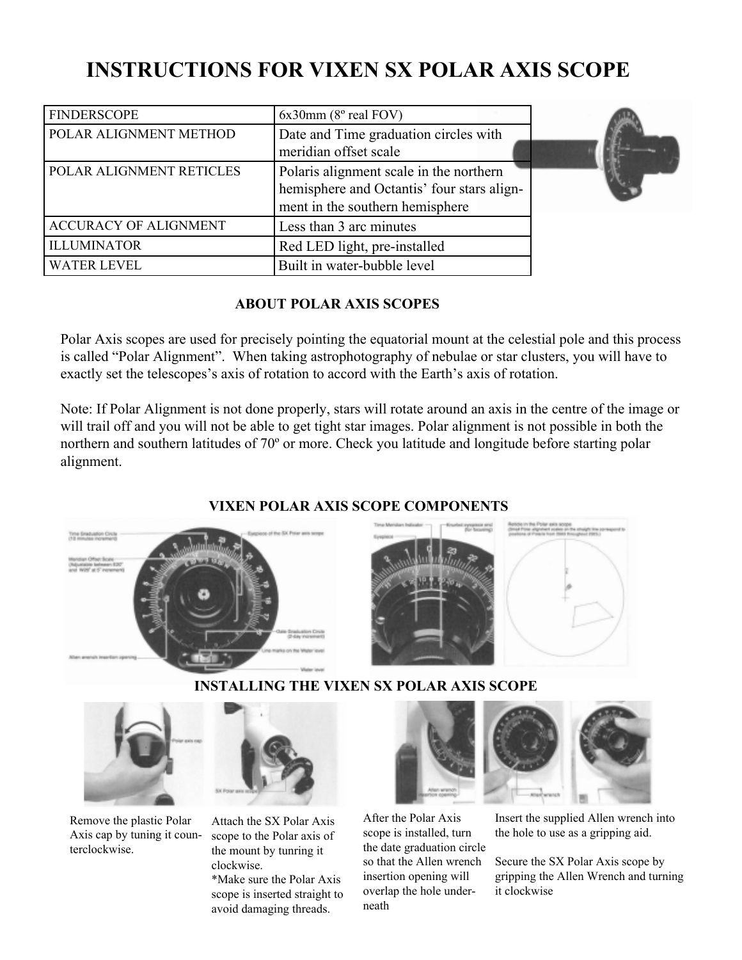# **INSTRUCTIONS FOR VIXEN SX POLAR AXIS SCOPE**

| <b>FINDERSCOPE</b>           | $6x30mm$ (8 $^{\circ}$ real FOV)                                                                                         |
|------------------------------|--------------------------------------------------------------------------------------------------------------------------|
| POLAR ALIGNMENT METHOD       | Date and Time graduation circles with<br>meridian offset scale                                                           |
| POLAR ALIGNMENT RETICLES     | Polaris alignment scale in the northern<br>hemisphere and Octantis' four stars align-<br>ment in the southern hemisphere |
| <b>ACCURACY OF ALIGNMENT</b> | Less than 3 arc minutes                                                                                                  |
| <b>ILLUMINATOR</b>           | Red LED light, pre-installed                                                                                             |
| <b>WATER LEVEL</b>           | Built in water-bubble level                                                                                              |

#### **ABOUT POLAR AXIS SCOPES**

Polar Axis scopes are used for precisely pointing the equatorial mount at the celestial pole and this process is called "Polar Alignment". When taking astrophotography of nebulae or star clusters, you will have to exactly set the telescopes's axis of rotation to accord with the Earth's axis of rotation.

Note: If Polar Alignment is not done properly, stars will rotate around an axis in the centre of the image or will trail off and you will not be able to get tight star images. Polar alignment is not possible in both the northern and southern latitudes of 70º or more. Check you latitude and longitude before starting polar alignment.

## **VIXEN POLAR AXIS SCOPE COMPONENTS**





## **INSTALLING THE VIXEN SX POLAR AXIS SCOPE**



Remove the plastic Polar Axis cap by tuning it counterclockwise.



Attach the SX Polar Axis scope to the Polar axis of the mount by tunring it clockwise.

\*Make sure the Polar Axis scope is inserted straight to avoid damaging threads.



After the Polar Axis scope is installed, turn the date graduation circle so that the Allen wrench insertion opening will overlap the hole underneath



Insert the supplied Allen wrench into the hole to use as a gripping aid.

Secure the SX Polar Axis scope by gripping the Allen Wrench and turning it clockwise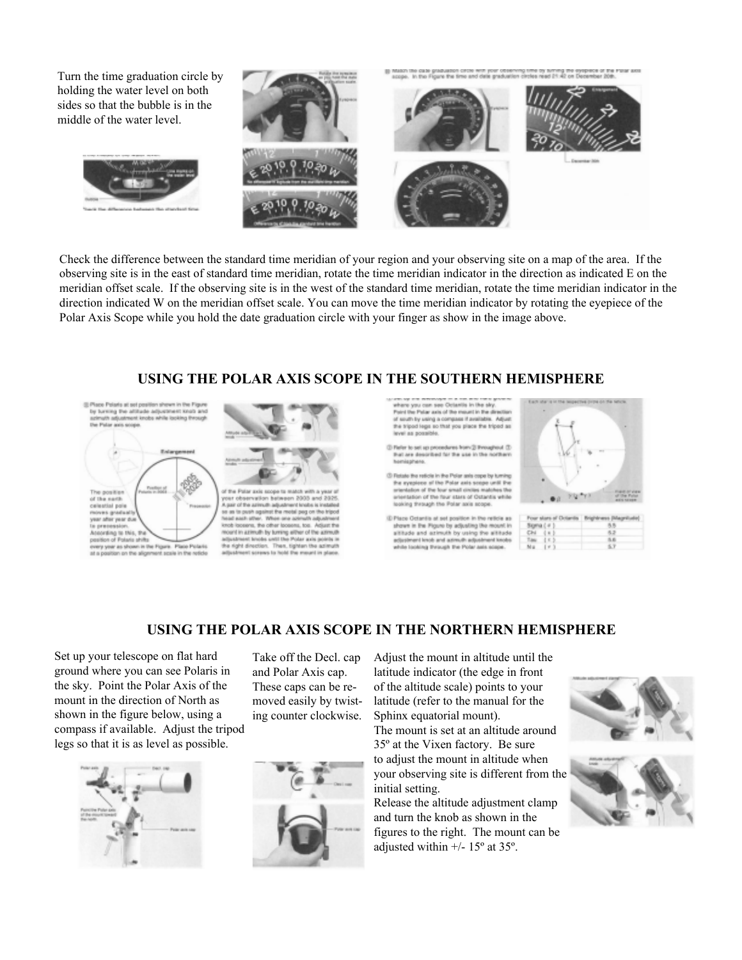Turn the time graduation circle by holding the water level on both sides so that the bubble is in the middle of the water level.



Check the difference between the standard time meridian of your region and your observing site on a map of the area. If the observing site is in the east of standard time meridian, rotate the time meridian indicator in the direction as indicated E on the meridian offset scale. If the observing site is in the west of the standard time meridian, rotate the time meridian indicator in the direction indicated W on the meridian offset scale. You can move the time meridian indicator by rotating the eyepiece of the Polar Axis Scope while you hold the date graduation circle with your finger as show in the image above.

#### **USING THE POLAR AXIS SCOPE IN THE SOUTHERN HEMISPHERE**



#### **USING THE POLAR AXIS SCOPE IN THE NORTHERN HEMISPHERE**

Set up your telescope on flat hard ground where you can see Polaris in the sky. Point the Polar Axis of the mount in the direction of North as shown in the figure below, using a compass if available. Adjust the tripod legs so that it is as level as possible.



Take off the Decl. cap and Polar Axis cap. These caps can be removed easily by twisting counter clockwise.



Adjust the mount in altitude until the latitude indicator (the edge in front of the altitude scale) points to your latitude (refer to the manual for the Sphinx equatorial mount). The mount is set at an altitude around 35º at the Vixen factory. Be sure to adjust the mount in altitude when your observing site is different from the initial setting.

Release the altitude adjustment clamp and turn the knob as shown in the figures to the right. The mount can be adjusted within +/- 15º at 35º.